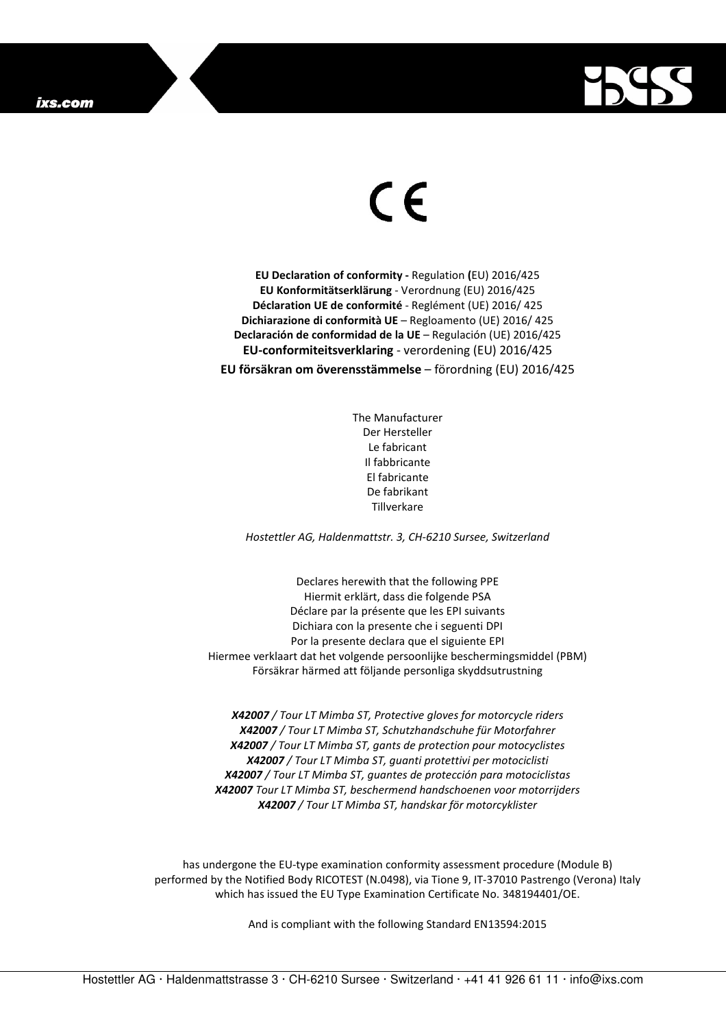

## $\in$

**EU Declaration of conformity -** Regulation **(**EU) 2016/425 **EU Konformitätserklärung** - Verordnung (EU) 2016/425 **Déclaration UE de conformité** - Reglément (UE) 2016/ 425 **Dichiarazione di conformità UE** – Regloamento (UE) 2016/ 425 **Declaración de conformidad de la UE** – Regulación (UE) 2016/425 **EU-conformiteitsverklaring** - verordening (EU) 2016/425 **EU försäkran om överensstämmelse** – förordning (EU) 2016/425

> The Manufacturer Der Hersteller Le fabricant Il fabbricante El fabricante De fabrikant **Tillverkare**

*Hostettler AG, Haldenmattstr. 3, CH-6210 Sursee, Switzerland* 

Declares herewith that the following PPE Hiermit erklärt, dass die folgende PSA Déclare par la présente que les EPI suivants Dichiara con la presente che i seguenti DPI Por la presente declara que el siguiente EPI Hiermee verklaart dat het volgende persoonlijke beschermingsmiddel (PBM) Försäkrar härmed att följande personliga skyddsutrustning

*X42007 / Tour LT Mimba ST, Protective gloves for motorcycle riders X42007 / Tour LT Mimba ST, Schutzhandschuhe für Motorfahrer X42007 / Tour LT Mimba ST, gants de protection pour motocyclistes X42007 / Tour LT Mimba ST, guanti protettivi per motociclisti X42007 / Tour LT Mimba ST, guantes de protección para motociclistas X42007 Tour LT Mimba ST, beschermend handschoenen voor motorrijders X42007 / Tour LT Mimba ST, handskar för motorcyklister* 

has undergone the EU-type examination conformity assessment procedure (Module B) performed by the Notified Body RICOTEST (N.0498), via Tione 9, IT-37010 Pastrengo (Verona) Italy which has issued the EU Type Examination Certificate No. 348194401/OE.

And is compliant with the following Standard EN13594:2015